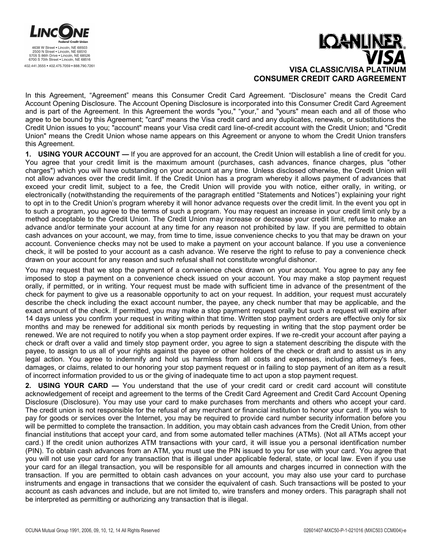

# **IQANUNE VISA CLASSIC/VISA PLA CONSUMER CREDIT CARD AGREEMENT**

In this Agreement, "Agreement" means this Consumer Credit Card Agreement. "Disclosure" means the Credit Card Account Opening Disclosure. The Account Opening Disclosure is incorporated into this Consumer Credit Card Agreement and is part of the Agreement. In this Agreement the words "you," "your," and "yours" mean each and all of those who agree to be bound by this Agreement; "card" means the Visa credit card and any duplicates, renewals, or substitutions the Credit Union issues to you; "account" means your Visa credit card line-of-credit account with the Credit Union; and "Credit Union" means the Credit Union whose name appears on this Agreement or anyone to whom the Credit Union transfers this Agreement.

**1. USING YOUR ACCOUNT** — If you are approved for an account, the Credit Union will establish a line of credit for you. You agree that your credit limit is the maximum amount (purchases, cash advances, finance charges, plus "other charges") which you will have outstanding on your account at any time. Unless disclosed otherwise, the Credit Union will not allow advances over the credit limit. If the Credit Union has a program whereby it allows payment of advances that exceed your credit limit, subject to a fee, the Credit Union will provide you with notice, either orally, in writing, or electronically (notwithstanding the requirements of the paragraph entitled "Statements and Notices") explaining your right to opt in to the Credit Union's program whereby it will honor advance requests over the credit limit. In the event you opt in to such a program, you agree to the terms of such a program. You may request an increase in your credit limit only by a method acceptable to the Credit Union. The Credit Union may increase or decrease your credit limit, refuse to make an advance and/or terminate your account at any time for any reason not prohibited by law. If you are permitted to obtain cash advances on your account, we may, from time to time, issue convenience checks to you that may be drawn on your account. Convenience checks may not be used to make a payment on your account balance. If you use a convenience check, it will be posted to your account as a cash advance. We reserve the right to refuse to pay a convenience check drawn on your account for any reason and such refusal shall not constitute wrongful dishonor.

You may request that we stop the payment of a convenience check drawn on your account. You agree to pay any fee imposed to stop a payment on a convenience check issued on your account. You may make a stop payment request orally, if permitted, or in writing. Your request must be made with sufficient time in advance of the presentment of the check for payment to give us a reasonable opportunity to act on your request. In addition, your request must accurately describe the check including the exact account number, the payee, any check number that may be applicable, and the exact amount of the check. If permitted, you may make a stop payment request orally but such a request will expire after 14 days unless you confirm your request in writing within that time. Written stop payment orders are effective only for six months and may be renewed for additional six month periods by requesting in writing that the stop payment order be renewed. We are not required to notify you when a stop payment order expires. If we re-credit your account after paying a check or draft over a valid and timely stop payment order, you agree to sign a statement describing the dispute with the payee, to assign to us all of your rights against the payee or other holders of the check or draft and to assist us in any legal action. You agree to indemnify and hold us harmless from all costs and expenses, including attorney's fees, damages, or claims, related to our honoring your stop payment request or in failing to stop payment of an item as a result of incorrect information provided to us or the giving of inadequate time to act upon a stop payment request.

2. USING YOUR CARD - You understand that the use of your credit card or credit card account will constitute acknowledgement of receipt and agreement to the terms of the Credit Card Agreement and Credit Card Account Opening Disclosure (Disclosure). You may use your card to make purchases from merchants and others who accept your card. The credit union is not responsible for the refusal of any merchant or financial institution to honor your card. If you wish to pay for goods or services over the Internet, you may be required to provide card number security information before you will be permitted to complete the transaction. In addition, you may obtain cash advances from the Credit Union, from other financial institutions that accept your card, and from some automated teller machines (ATMs). (Not all ATMs accept your card.) If the credit union authorizes ATM transactions with your card, it will issue you a personal identification number (PIN). To obtain cash advances from an ATM, you must use the PIN issued to you for use with your card. You agree that you will not use your card for any transaction that is illegal under applicable federal, state, or local law. Even if you use your card for an illegal transaction, you will be responsible for all amounts and charges incurred in connection with the transaction. If you are permitted to obtain cash advances on your account, you may also use your card to purchase instruments and engage in transactions that we consider the equivalent of cash. Such transactions will be posted to your account as cash advances and include, but are not limited to, wire transfers and money orders. This paragraph shall not be interpreted as permitting or authorizing any transaction that is illegal.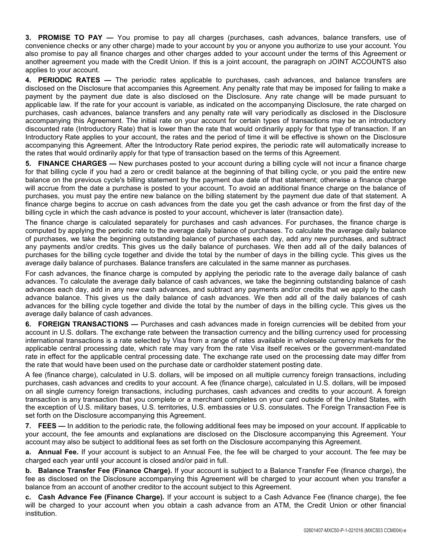**3. PROMISE TO PAY —** You promise to pay all charges (purchases, cash advances, balance transfers, use of convenience checks or any other charge) made to your account by you or anyone you authorize to use your account. You also promise to pay all finance charges and other charges added to your account under the terms of this Agreement or another agreement you made with the Credit Union. If this is a joint account, the paragraph on JOINT ACCOUNTS also applies to your account.

**4. PERIODIC RATES —** The periodic rates applicable to purchases, cash advances, and balance transfers are disclosed on the Disclosure that accompanies this Agreement. Any penalty rate that may be imposed for failing to make a payment by the payment due date is also disclosed on the Disclosure. Any rate change will be made pursuant to applicable law. If the rate for your account is variable, as indicated on the accompanying Disclosure, the rate charged on purchases, cash advances, balance transfers and any penalty rate will vary periodically as disclosed in the Disclosure accompanying this Agreement. The initial rate on your account for certain types of transactions may be an introductory discounted rate (Introductory Rate) that is lower than the rate that would ordinarily apply for that type of transaction. If an Introductory Rate applies to your account, the rates and the period of time it will be effective is shown on the Disclosure accompanying this Agreement. After the Introductory Rate period expires, the periodic rate will automatically increase to the rates that would ordinarily apply for that type of transaction based on the terms of this Agreement.

**5. FINANCE CHARGES —** New purchases posted to your account during a billing cycle will not incur a finance charge for that billing cycle if you had a zero or credit balance at the beginning of that billing cycle, or you paid the entire new balance on the previous cycle's billing statement by the payment due date of that statement; otherwise a finance charge will accrue from the date a purchase is posted to your account. To avoid an additional finance charge on the balance of purchases, you must pay the entire new balance on the billing statement by the payment due date of that statement. A finance charge begins to accrue on cash advances from the date you get the cash advance or from the first day of the billing cycle in which the cash advance is posted to your account, whichever is later (transaction date).

The finance charge is calculated separately for purchases and cash advances. For purchases, the finance charge is computed by applying the periodic rate to the average daily balance of purchases. To calculate the average daily balance of purchases, we take the beginning outstanding balance of purchases each day, add any new purchases, and subtract any payments and/or credits. This gives us the daily balance of purchases. We then add all of the daily balances of purchases for the billing cycle together and divide the total by the number of days in the billing cycle. This gives us the average daily balance of purchases. Balance transfers are calculated in the same manner as purchases.

For cash advances, the finance charge is computed by applying the periodic rate to the average daily balance of cash advances. To calculate the average daily balance of cash advances, we take the beginning outstanding balance of cash advances each day, add in any new cash advances, and subtract any payments and/or credits that we apply to the cash advance balance. This gives us the daily balance of cash advances. We then add all of the daily balances of cash advances for the billing cycle together and divide the total by the number of days in the billing cycle. This gives us the average daily balance of cash advances.

**6. FOREIGN TRANSACTIONS —** Purchases and cash advances made in foreign currencies will be debited from your account in U.S. dollars. The exchange rate between the transaction currency and the billing currency used for processing international transactions is a rate selected by Visa from a range of rates available in wholesale currency markets for the applicable central processing date, which rate may vary from the rate Visa itself receives or the government-mandated rate in effect for the applicable central processing date. The exchange rate used on the processing date may differ from the rate that would have been used on the purchase date or cardholder statement posting date.

A fee (finance charge), calculated in U.S. dollars, will be imposed on all multiple currency foreign transactions, including purchases, cash advances and credits to your account. A fee (finance charge), calculated in U.S. dollars, will be imposed on all single currency foreign transactions, including purchases, cash advances and credits to your account. A foreign transaction is any transaction that you complete or a merchant completes on your card outside of the United States, with the exception of U.S. military bases, U.S. territories, U.S. embassies or U.S. consulates. The Foreign Transaction Fee is set forth on the Disclosure accompanying this Agreement.

**7. FEES —** In addition to the periodic rate, the following additional fees may be imposed on your account. If applicable to your account, the fee amounts and explanations are disclosed on the Disclosure accompanying this Agreement. Your account may also be subject to additional fees as set forth on the Disclosure accompanying this Agreement.

**a. Annual Fee.** If your account is subject to an Annual Fee, the fee will be charged to your account. The fee may be charged each year until your account is closed and/or paid in full.

**b. Balance Transfer Fee (Finance Charge).** If your account is subject to a Balance Transfer Fee (finance charge), the fee as disclosed on the Disclosure accompanying this Agreement will be charged to your account when you transfer a balance from an account of another creditor to the account subject to this Agreement.

**c. Cash Advance Fee (Finance Charge).** If your account is subject to a Cash Advance Fee (finance charge), the fee will be charged to your account when you obtain a cash advance from an ATM, the Credit Union or other financial institution.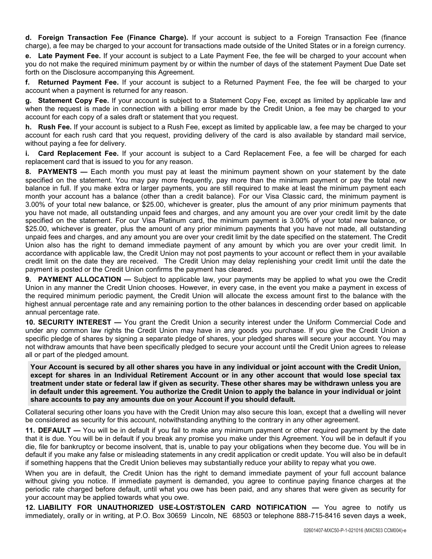**d. Foreign Transaction Fee (Finance Charge).** If your account is subject to a Foreign Transaction Fee (finance charge), a fee may be charged to your account for transactions made outside of the United States or in a foreign currency.

**e. Late Payment Fee.** If your account is subject to a Late Payment Fee, the fee will be charged to your account when you do not make the required minimum payment by or within the number of days of the statement Payment Due Date set forth on the Disclosure accompanying this Agreement.

**f. Returned Payment Fee.** If your account is subject to a Returned Payment Fee, the fee will be charged to your account when a payment is returned for any reason.

**g. Statement Copy Fee.** If your account is subject to a Statement Copy Fee, except as limited by applicable law and when the request is made in connection with a billing error made by the Credit Union, a fee may be charged to your account for each copy of a sales draft or statement that you request.

**h. Rush Fee.** If your account is subject to a Rush Fee, except as limited by applicable law, a fee may be charged to your account for each rush card that you request, providing delivery of the card is also available by standard mail service, without paying a fee for delivery.

**i. Card Replacement Fee.** If your account is subject to a Card Replacement Fee, a fee will be charged for each replacement card that is issued to you for any reason.

**8. PAYMENTS —** Each month you must pay at least the minimum payment shown on your statement by the date specified on the statement. You may pay more frequently, pay more than the minimum payment or pay the total new balance in full. If you make extra or larger payments, you are still required to make at least the minimum payment each month your account has a balance (other than a credit balance). For our Visa Classic card, the minimum payment is 3.00% of your total new balance, or \$25.00, whichever is greater, plus the amount of any prior minimum payments that you have not made, all outstanding unpaid fees and charges, and any amount you are over your credit limit by the date specified on the statement. For our Visa Platinum card, the minimum payment is 3.00% of your total new balance, or \$25.00, whichever is greater, plus the amount of any prior minimum payments that you have not made, all outstanding unpaid fees and charges, and any amount you are over your credit limit by the date specified on the statement. The Credit Union also has the right to demand immediate payment of any amount by which you are over your credit limit. In accordance with applicable law, the Credit Union may not post payments to your account or reflect them in your available credit limit on the date they are received. The Credit Union may delay replenishing your credit limit until the date the payment is posted or the Credit Union confirms the payment has cleared.

**9. PAYMENT ALLOCATION —** Subject to applicable law, your payments may be applied to what you owe the Credit Union in any manner the Credit Union chooses. However, in every case, in the event you make a payment in excess of the required minimum periodic payment, the Credit Union will allocate the excess amount first to the balance with the highest annual percentage rate and any remaining portion to the other balances in descending order based on applicable annual percentage rate.

**10. SECURITY INTEREST —** You grant the Credit Union a security interest under the Uniform Commercial Code and under any common law rights the Credit Union may have in any goods you purchase. If you give the Credit Union a specific pledge of shares by signing a separate pledge of shares, your pledged shares will secure your account. You may not withdraw amounts that have been specifically pledged to secure your account until the Credit Union agrees to release all or part of the pledged amount.

**Your Account is secured by all other shares you have in any individual or joint account with the Credit Union, except for shares in an Individual Retirement Account or in any other account that would lose special tax treatment under state or federal law if given as security. These other shares may be withdrawn unless you are in default under this agreement. You authorize the Credit Union to apply the balance in your individual or joint share accounts to pay any amounts due on your Account if you should default.**

Collateral securing other loans you have with the Credit Union may also secure this loan, except that a dwelling will never be considered as security for this account, notwithstanding anything to the contrary in any other agreement.

**11. DEFAULT —** You will be in default if you fail to make any minimum payment or other required payment by the date that it is due. You will be in default if you break any promise you make under this Agreement. You will be in default if you die, file for bankruptcy or become insolvent, that is, unable to pay your obligations when they become due. You will be in default if you make any false or misleading statements in any credit application or credit update. You will also be in default if something happens that the Credit Union believes may substantially reduce your ability to repay what you owe.

When you are in default, the Credit Union has the right to demand immediate payment of your full account balance without giving you notice. If immediate payment is demanded, you agree to continue paying finance charges at the periodic rate charged before default, until what you owe has been paid, and any shares that were given as security for your account may be applied towards what you owe.

**12. LIABILITY FOR UNAUTHORIZED USE-LOST/STOLEN CARD NOTIFICATION —** You agree to notify us immediately, orally or in writing, at P.O. Box 30659 Lincoln, NE 68503 or telephone 888-715-8416 seven days a week,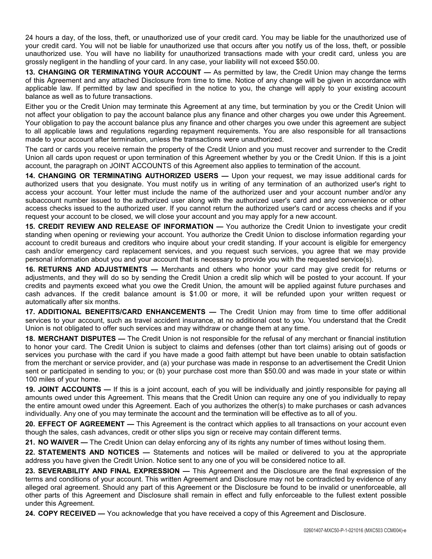24 hours a day, of the loss, theft, or unauthorized use of your credit card. You may be liable for the unauthorized use of your credit card. You will not be liable for unauthorized use that occurs after you notify us of the loss, theft, or possible unauthorized use. You will have no liability for unauthorized transactions made with your credit card, unless you are grossly negligent in the handling of your card. In any case, your liability will not exceed \$50.00.

**13. CHANGING OR TERMINATING YOUR ACCOUNT —** As permitted by law, the Credit Union may change the terms of this Agreement and any attached Disclosure from time to time. Notice of any change will be given in accordance with applicable law. If permitted by law and specified in the notice to you, the change will apply to your existing account balance as well as to future transactions.

Either you or the Credit Union may terminate this Agreement at any time, but termination by you or the Credit Union will not affect your obligation to pay the account balance plus any finance and other charges you owe under this Agreement. Your obligation to pay the account balance plus any finance and other charges you owe under this agreement are subject to all applicable laws and regulations regarding repayment requirements. You are also responsible for all transactions made to your account after termination, unless the transactions were unauthorized.

The card or cards you receive remain the property of the Credit Union and you must recover and surrender to the Credit Union all cards upon request or upon termination of this Agreement whether by you or the Credit Union. If this is a joint account, the paragraph on JOINT ACCOUNTS of this Agreement also applies to termination of the account.

**14. CHANGING OR TERMINATING AUTHORIZED USERS —** Upon your request, we may issue additional cards for authorized users that you designate. You must notify us in writing of any termination of an authorized user's right to access your account. Your letter must include the name of the authorized user and your account number and/or any subaccount number issued to the authorized user along with the authorized user's card and any convenience or other access checks issued to the authorized user. If you cannot return the authorized user's card or access checks and if you request your account to be closed, we will close your account and you may apply for a new account.

**15. CREDIT REVIEW AND RELEASE OF INFORMATION —** You authorize the Credit Union to investigate your credit standing when opening or reviewing your account. You authorize the Credit Union to disclose information regarding your account to credit bureaus and creditors who inquire about your credit standing. If your account is eligible for emergency cash and/or emergency card replacement services, and you request such services, you agree that we may provide personal information about you and your account that is necessary to provide you with the requested service(s).

**16. RETURNS AND ADJUSTMENTS —** Merchants and others who honor your card may give credit for returns or adjustments, and they will do so by sending the Credit Union a credit slip which will be posted to your account. If your credits and payments exceed what you owe the Credit Union, the amount will be applied against future purchases and cash advances. If the credit balance amount is \$1.00 or more, it will be refunded upon your written request or automatically after six months.

**17. ADDITIONAL BENEFITS/CARD ENHANCEMENTS —** The Credit Union may from time to time offer additional services to your account, such as travel accident insurance, at no additional cost to you. You understand that the Credit Union is not obligated to offer such services and may withdraw or change them at any time.

**18. MERCHANT DISPUTES —** The Credit Union is not responsible for the refusal of any merchant or financial institution to honor your card. The Credit Union is subject to claims and defenses (other than tort claims) arising out of goods or services you purchase with the card if you have made a good faith attempt but have been unable to obtain satisfaction from the merchant or service provider, and (a) your purchase was made in response to an advertisement the Credit Union sent or participated in sending to you; or (b) your purchase cost more than \$50.00 and was made in your state or within 100 miles of your home.

**19. JOINT ACCOUNTS —** If this is a joint account, each of you will be individually and jointly responsible for paying all amounts owed under this Agreement. This means that the Credit Union can require any one of you individually to repay the entire amount owed under this Agreement. Each of you authorizes the other(s) to make purchases or cash advances individually. Any one of you may terminate the account and the termination will be effective as to all of you.

**20. EFFECT OF AGREEMENT —** This Agreement is the contract which applies to all transactions on your account even though the sales, cash advances, credit or other slips you sign or receive may contain different terms.

**21. NO WAIVER —** The Credit Union can delay enforcing any of its rights any number of times without losing them.

**22. STATEMENTS AND NOTICES —** Statements and notices will be mailed or delivered to you at the appropriate address you have given the Credit Union. Notice sent to any one of you will be considered notice to all.

**23. SEVERABILITY AND FINAL EXPRESSION —** This Agreement and the Disclosure are the final expression of the terms and conditions of your account. This written Agreement and Disclosure may not be contradicted by evidence of any alleged oral agreement. Should any part of this Agreement or the Disclosure be found to be invalid or unenforceable, all other parts of this Agreement and Disclosure shall remain in effect and fully enforceable to the fullest extent possible under this Agreement.

**24. COPY RECEIVED —** You acknowledge that you have received a copy of this Agreement and Disclosure.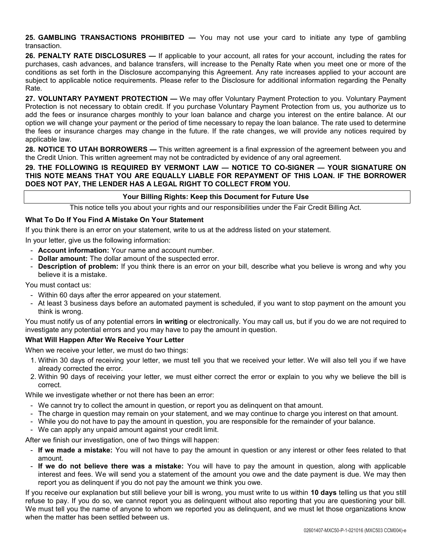**25. GAMBLING TRANSACTIONS PROHIBITED —** You may not use your card to initiate any type of gambling transaction.

**26. PENALTY RATE DISCLOSURES —** If applicable to your account, all rates for your account, including the rates for purchases, cash advances, and balance transfers, will increase to the Penalty Rate when you meet one or more of the conditions as set forth in the Disclosure accompanying this Agreement. Any rate increases applied to your account are subject to applicable notice requirements. Please refer to the Disclosure for additional information regarding the Penalty Rate.

**27. VOLUNTARY PAYMENT PROTECTION —** We may offer Voluntary Payment Protection to you. Voluntary Payment Protection is not necessary to obtain credit. If you purchase Voluntary Payment Protection from us, you authorize us to add the fees or insurance charges monthly to your loan balance and charge you interest on the entire balance. At our option we will change your payment or the period of time necessary to repay the loan balance. The rate used to determine the fees or insurance charges may change in the future. If the rate changes, we will provide any notices required by applicable law.

**28. NOTICE TO UTAH BORROWERS —** This written agreement is a final expression of the agreement between you and the Credit Union. This written agreement may not be contradicted by evidence of any oral agreement.

## **29. THE FOLLOWING IS REQUIRED BY VERMONT LAW — NOTICE TO CO-SIGNER — YOUR SIGNATURE ON THIS NOTE MEANS THAT YOU ARE EQUALLY LIABLE FOR REPAYMENT OF THIS LOAN. IF THE BORROWER DOES NOT PAY, THE LENDER HAS A LEGAL RIGHT TO COLLECT FROM YOU.**

#### **Your Billing Rights: Keep this Document for Future Use**

This notice tells you about your rights and our responsibilities under the Fair Credit Billing Act.

## **What To Do If You Find A Mistake On Your Statement**

If you think there is an error on your statement, write to us at the address listed on your statement.

In your letter, give us the following information:

- **Account information:** Your name and account number.
- **Dollar amount:** The dollar amount of the suspected error.
- **Description of problem:** If you think there is an error on your bill, describe what you believe is wrong and why you believe it is a mistake.

You must contact us:

- Within 60 days after the error appeared on your statement.
- At least 3 business days before an automated payment is scheduled, if you want to stop payment on the amount you think is wrong.

You must notify us of any potential errors **in writing** or electronically. You may call us, but if you do we are not required to investigate any potential errors and you may have to pay the amount in question.

#### **What Will Happen After We Receive Your Letter**

When we receive your letter, we must do two things:

- 1. Within 30 days of receiving your letter, we must tell you that we received your letter. We will also tell you if we have already corrected the error.
- 2. Within 90 days of receiving your letter, we must either correct the error or explain to you why we believe the bill is correct.

While we investigate whether or not there has been an error:

- We cannot try to collect the amount in question, or report you as delinquent on that amount.
- The charge in question may remain on your statement, and we may continue to charge you interest on that amount.
- While you do not have to pay the amount in question, you are responsible for the remainder of your balance.
- We can apply any unpaid amount against your credit limit.

After we finish our investigation, one of two things will happen:

- **If we made a mistake:** You will not have to pay the amount in question or any interest or other fees related to that amount.
- **If we do not believe there was a mistake:** You will have to pay the amount in question, along with applicable interest and fees. We will send you a statement of the amount you owe and the date payment is due. We may then report you as delinquent if you do not pay the amount we think you owe.

If you receive our explanation but still believe your bill is wrong, you must write to us within **10 days** telling us that you still refuse to pay. If you do so, we cannot report you as delinquent without also reporting that you are questioning your bill. We must tell you the name of anyone to whom we reported you as delinquent, and we must let those organizations know when the matter has been settled between us.